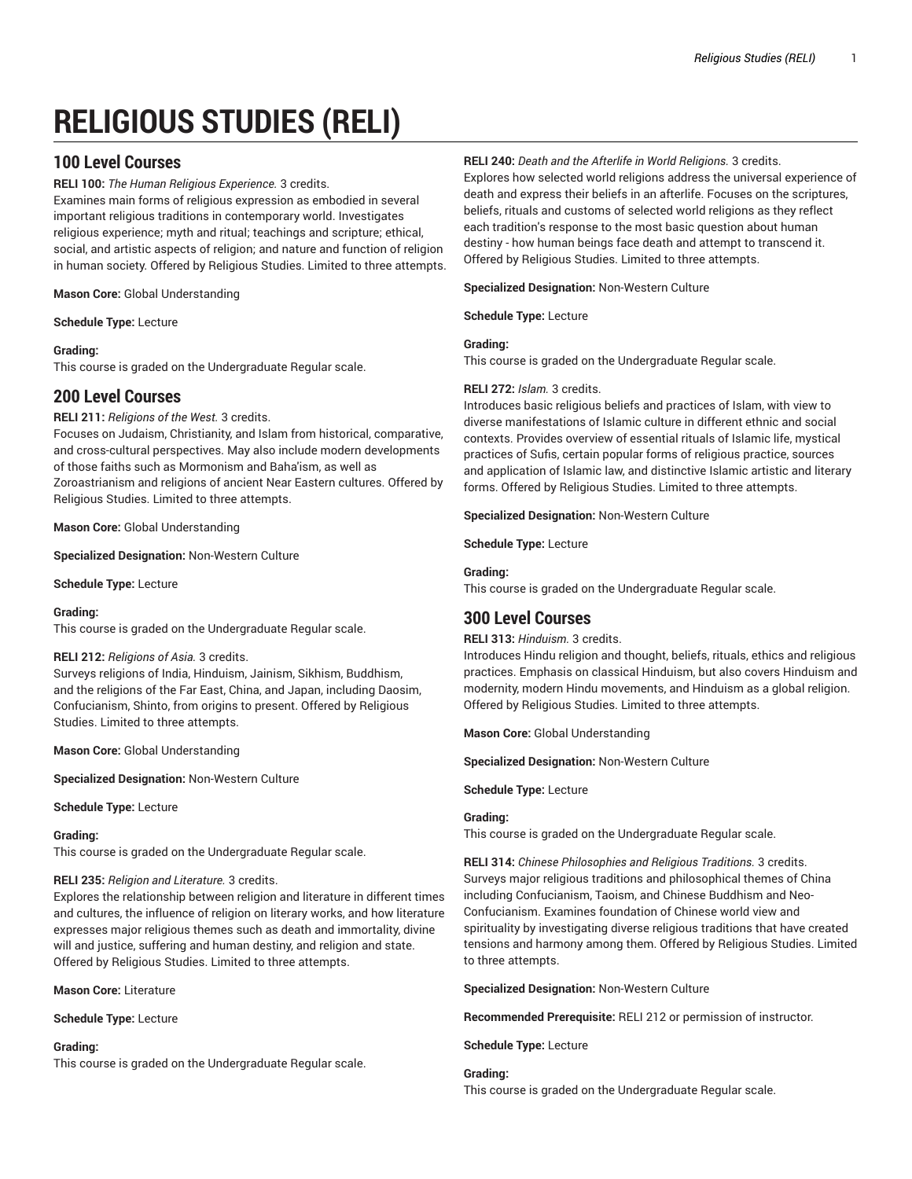# **RELIGIOUS STUDIES (RELI)**

# **100 Level Courses**

**RELI 100:** *The Human Religious Experience.* 3 credits.

Examines main forms of religious expression as embodied in several important religious traditions in contemporary world. Investigates religious experience; myth and ritual; teachings and scripture; ethical, social, and artistic aspects of religion; and nature and function of religion in human society. Offered by Religious Studies. Limited to three attempts.

**Mason Core:** Global Understanding

**Schedule Type:** Lecture

# **Grading:**

This course is graded on the Undergraduate Regular scale.

# **200 Level Courses**

**RELI 211:** *Religions of the West.* 3 credits.

Focuses on Judaism, Christianity, and Islam from historical, comparative, and cross-cultural perspectives. May also include modern developments of those faiths such as Mormonism and Baha'ism, as well as Zoroastrianism and religions of ancient Near Eastern cultures. Offered by

Religious Studies. Limited to three attempts.

**Mason Core:** Global Understanding

**Specialized Designation:** Non-Western Culture

**Schedule Type:** Lecture

# **Grading:**

This course is graded on the Undergraduate Regular scale.

# **RELI 212:** *Religions of Asia.* 3 credits.

Surveys religions of India, Hinduism, Jainism, Sikhism, Buddhism, and the religions of the Far East, China, and Japan, including Daosim, Confucianism, Shinto, from origins to present. Offered by Religious Studies. Limited to three attempts.

**Mason Core:** Global Understanding

**Specialized Designation:** Non-Western Culture

**Schedule Type:** Lecture

# **Grading:**

This course is graded on the Undergraduate Regular scale.

# **RELI 235:** *Religion and Literature.* 3 credits.

Explores the relationship between religion and literature in different times and cultures, the influence of religion on literary works, and how literature expresses major religious themes such as death and immortality, divine will and justice, suffering and human destiny, and religion and state. Offered by Religious Studies. Limited to three attempts.

**Mason Core:** Literature

**Schedule Type:** Lecture

# **Grading:**

This course is graded on the Undergraduate Regular scale.

# **RELI 240:** *Death and the Afterlife in World Religions.* 3 credits.

Explores how selected world religions address the universal experience of death and express their beliefs in an afterlife. Focuses on the scriptures, beliefs, rituals and customs of selected world religions as they reflect each tradition's response to the most basic question about human destiny - how human beings face death and attempt to transcend it. Offered by Religious Studies. Limited to three attempts.

**Specialized Designation:** Non-Western Culture

**Schedule Type:** Lecture

# **Grading:**

This course is graded on the Undergraduate Regular scale.

# **RELI 272:** *Islam.* 3 credits.

Introduces basic religious beliefs and practices of Islam, with view to diverse manifestations of Islamic culture in different ethnic and social contexts. Provides overview of essential rituals of Islamic life, mystical practices of Sufis, certain popular forms of religious practice, sources and application of Islamic law, and distinctive Islamic artistic and literary forms. Offered by Religious Studies. Limited to three attempts.

**Specialized Designation:** Non-Western Culture

**Schedule Type:** Lecture

# **Grading:**

This course is graded on the Undergraduate Regular scale.

# **300 Level Courses**

# **RELI 313:** *Hinduism.* 3 credits.

Introduces Hindu religion and thought, beliefs, rituals, ethics and religious practices. Emphasis on classical Hinduism, but also covers Hinduism and modernity, modern Hindu movements, and Hinduism as a global religion. Offered by Religious Studies. Limited to three attempts.

**Mason Core:** Global Understanding

**Specialized Designation:** Non-Western Culture

**Schedule Type:** Lecture

# **Grading:**

This course is graded on the Undergraduate Regular scale.

**RELI 314:** *Chinese Philosophies and Religious Traditions.* 3 credits. Surveys major religious traditions and philosophical themes of China including Confucianism, Taoism, and Chinese Buddhism and Neo-Confucianism. Examines foundation of Chinese world view and spirituality by investigating diverse religious traditions that have created tensions and harmony among them. Offered by Religious Studies. Limited to three attempts.

**Specialized Designation:** Non-Western Culture

**Recommended Prerequisite:** RELI 212 or permission of instructor.

**Schedule Type:** Lecture

**Grading:** This course is graded on the Undergraduate Regular scale.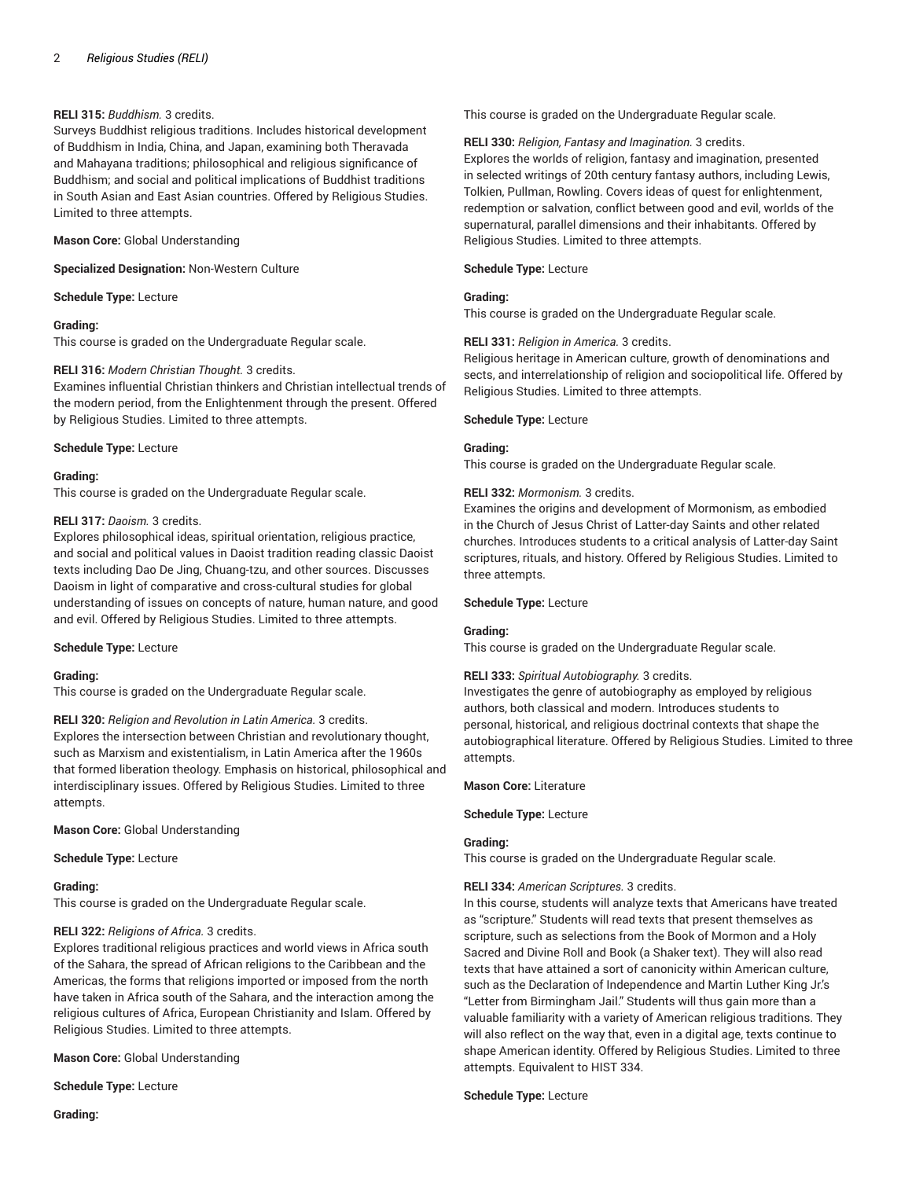# **RELI 315:** *Buddhism.* 3 credits.

Surveys Buddhist religious traditions. Includes historical development of Buddhism in India, China, and Japan, examining both Theravada and Mahayana traditions; philosophical and religious significance of Buddhism; and social and political implications of Buddhist traditions in South Asian and East Asian countries. Offered by Religious Studies. Limited to three attempts.

#### **Mason Core:** Global Understanding

**Specialized Designation:** Non-Western Culture

**Schedule Type:** Lecture

#### **Grading:**

This course is graded on the Undergraduate Regular scale.

#### **RELI 316:** *Modern Christian Thought.* 3 credits.

Examines influential Christian thinkers and Christian intellectual trends of the modern period, from the Enlightenment through the present. Offered by Religious Studies. Limited to three attempts.

#### **Schedule Type:** Lecture

#### **Grading:**

This course is graded on the Undergraduate Regular scale.

# **RELI 317:** *Daoism.* 3 credits.

Explores philosophical ideas, spiritual orientation, religious practice, and social and political values in Daoist tradition reading classic Daoist texts including Dao De Jing, Chuang-tzu, and other sources. Discusses Daoism in light of comparative and cross-cultural studies for global understanding of issues on concepts of nature, human nature, and good and evil. Offered by Religious Studies. Limited to three attempts.

#### **Schedule Type:** Lecture

## **Grading:**

This course is graded on the Undergraduate Regular scale.

# **RELI 320:** *Religion and Revolution in Latin America.* 3 credits.

Explores the intersection between Christian and revolutionary thought, such as Marxism and existentialism, in Latin America after the 1960s that formed liberation theology. Emphasis on historical, philosophical and interdisciplinary issues. Offered by Religious Studies. Limited to three attempts.

**Mason Core:** Global Understanding

#### **Schedule Type:** Lecture

#### **Grading:**

This course is graded on the Undergraduate Regular scale.

# **RELI 322:** *Religions of Africa.* 3 credits.

Explores traditional religious practices and world views in Africa south of the Sahara, the spread of African religions to the Caribbean and the Americas, the forms that religions imported or imposed from the north have taken in Africa south of the Sahara, and the interaction among the religious cultures of Africa, European Christianity and Islam. Offered by Religious Studies. Limited to three attempts.

**Mason Core:** Global Understanding

**Schedule Type:** Lecture

**Grading:**

This course is graded on the Undergraduate Regular scale.

#### **RELI 330:** *Religion, Fantasy and Imagination.* 3 credits.

Explores the worlds of religion, fantasy and imagination, presented in selected writings of 20th century fantasy authors, including Lewis, Tolkien, Pullman, Rowling. Covers ideas of quest for enlightenment, redemption or salvation, conflict between good and evil, worlds of the supernatural, parallel dimensions and their inhabitants. Offered by Religious Studies. Limited to three attempts.

**Schedule Type:** Lecture

## **Grading:**

This course is graded on the Undergraduate Regular scale.

### **RELI 331:** *Religion in America.* 3 credits.

Religious heritage in American culture, growth of denominations and sects, and interrelationship of religion and sociopolitical life. Offered by Religious Studies. Limited to three attempts.

#### **Schedule Type:** Lecture

# **Grading:**

This course is graded on the Undergraduate Regular scale.

#### **RELI 332:** *Mormonism.* 3 credits.

Examines the origins and development of Mormonism, as embodied in the Church of Jesus Christ of Latter-day Saints and other related churches. Introduces students to a critical analysis of Latter-day Saint scriptures, rituals, and history. Offered by Religious Studies. Limited to three attempts.

#### **Schedule Type:** Lecture

#### **Grading:**

This course is graded on the Undergraduate Regular scale.

#### **RELI 333:** *Spiritual Autobiography.* 3 credits.

Investigates the genre of autobiography as employed by religious authors, both classical and modern. Introduces students to personal, historical, and religious doctrinal contexts that shape the autobiographical literature. Offered by Religious Studies. Limited to three attempts.

**Mason Core:** Literature

#### **Schedule Type:** Lecture

## **Grading:**

This course is graded on the Undergraduate Regular scale.

# **RELI 334:** *American Scriptures.* 3 credits.

In this course, students will analyze texts that Americans have treated as "scripture." Students will read texts that present themselves as scripture, such as selections from the Book of Mormon and a Holy Sacred and Divine Roll and Book (a Shaker text). They will also read texts that have attained a sort of canonicity within American culture, such as the Declaration of Independence and Martin Luther King Jr.'s "Letter from Birmingham Jail." Students will thus gain more than a valuable familiarity with a variety of American religious traditions. They will also reflect on the way that, even in a digital age, texts continue to shape American identity. Offered by Religious Studies. Limited to three attempts. Equivalent to HIST 334.

#### **Schedule Type:** Lecture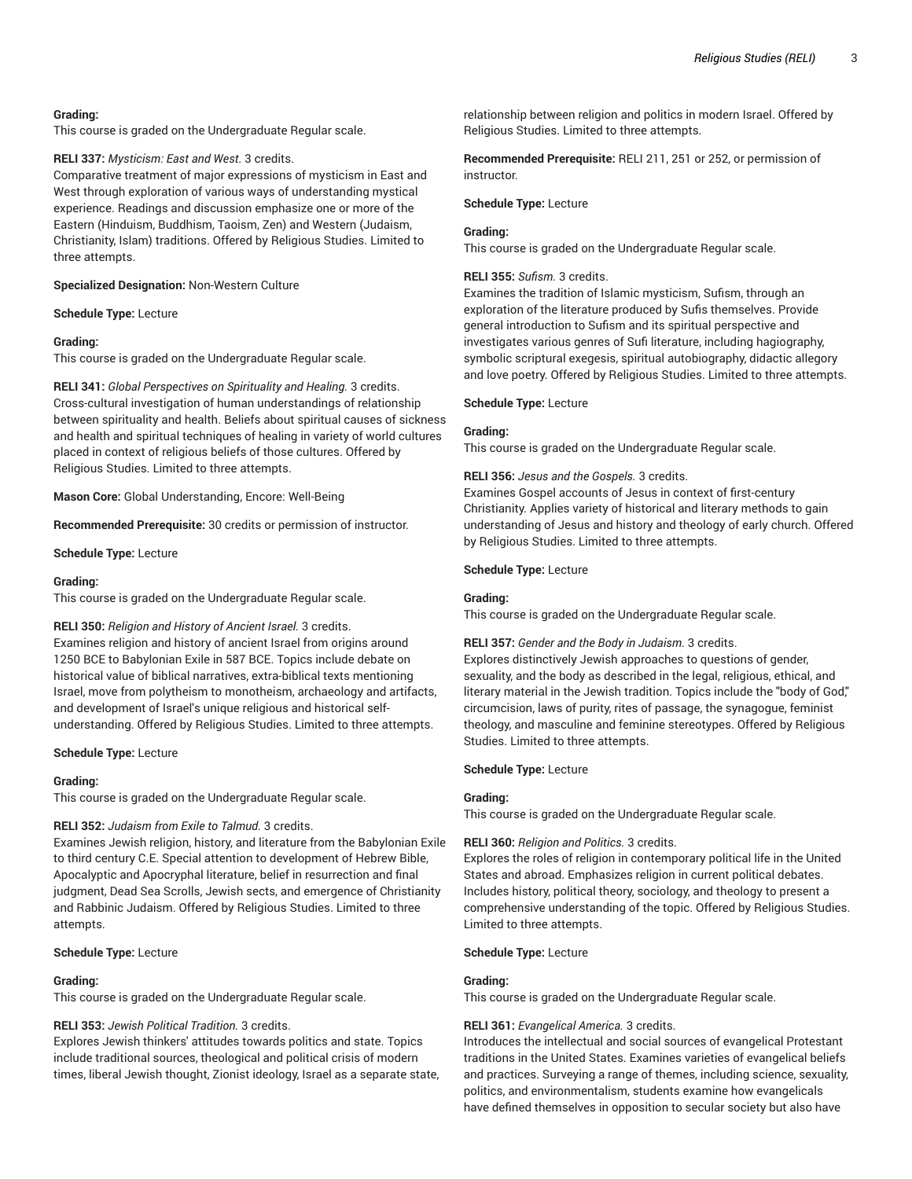# **Grading:**

This course is graded on the Undergraduate Regular scale.

#### **RELI 337:** *Mysticism: East and West.* 3 credits.

Comparative treatment of major expressions of mysticism in East and West through exploration of various ways of understanding mystical experience. Readings and discussion emphasize one or more of the Eastern (Hinduism, Buddhism, Taoism, Zen) and Western (Judaism, Christianity, Islam) traditions. Offered by Religious Studies. Limited to three attempts.

**Specialized Designation:** Non-Western Culture

#### **Schedule Type:** Lecture

# **Grading:**

This course is graded on the Undergraduate Regular scale.

**RELI 341:** *Global Perspectives on Spirituality and Healing.* 3 credits. Cross-cultural investigation of human understandings of relationship between spirituality and health. Beliefs about spiritual causes of sickness and health and spiritual techniques of healing in variety of world cultures placed in context of religious beliefs of those cultures. Offered by Religious Studies. Limited to three attempts.

**Mason Core:** Global Understanding, Encore: Well-Being

**Recommended Prerequisite:** 30 credits or permission of instructor.

**Schedule Type:** Lecture

### **Grading:**

This course is graded on the Undergraduate Regular scale.

#### **RELI 350:** *Religion and History of Ancient Israel.* 3 credits.

Examines religion and history of ancient Israel from origins around 1250 BCE to Babylonian Exile in 587 BCE. Topics include debate on historical value of biblical narratives, extra-biblical texts mentioning Israel, move from polytheism to monotheism, archaeology and artifacts, and development of Israel's unique religious and historical selfunderstanding. Offered by Religious Studies. Limited to three attempts.

**Schedule Type:** Lecture

#### **Grading:**

This course is graded on the Undergraduate Regular scale.

# **RELI 352:** *Judaism from Exile to Talmud.* 3 credits.

Examines Jewish religion, history, and literature from the Babylonian Exile to third century C.E. Special attention to development of Hebrew Bible, Apocalyptic and Apocryphal literature, belief in resurrection and final judgment, Dead Sea Scrolls, Jewish sects, and emergence of Christianity and Rabbinic Judaism. Offered by Religious Studies. Limited to three attempts.

#### **Schedule Type:** Lecture

# **Grading:**

This course is graded on the Undergraduate Regular scale.

# **RELI 353:** *Jewish Political Tradition.* 3 credits.

Explores Jewish thinkers' attitudes towards politics and state. Topics include traditional sources, theological and political crisis of modern times, liberal Jewish thought, Zionist ideology, Israel as a separate state, relationship between religion and politics in modern Israel. Offered by Religious Studies. Limited to three attempts.

**Recommended Prerequisite:** RELI 211, 251 or 252, or permission of instructor.

#### **Schedule Type:** Lecture

#### **Grading:**

This course is graded on the Undergraduate Regular scale.

#### **RELI 355:** *Sufism.* 3 credits.

Examines the tradition of Islamic mysticism, Sufism, through an exploration of the literature produced by Sufis themselves. Provide general introduction to Sufism and its spiritual perspective and investigates various genres of Sufi literature, including hagiography, symbolic scriptural exegesis, spiritual autobiography, didactic allegory and love poetry. Offered by Religious Studies. Limited to three attempts.

#### **Schedule Type:** Lecture

#### **Grading:**

This course is graded on the Undergraduate Regular scale.

#### **RELI 356:** *Jesus and the Gospels.* 3 credits.

Examines Gospel accounts of Jesus in context of first-century Christianity. Applies variety of historical and literary methods to gain understanding of Jesus and history and theology of early church. Offered by Religious Studies. Limited to three attempts.

#### **Schedule Type:** Lecture

#### **Grading:**

This course is graded on the Undergraduate Regular scale.

# **RELI 357:** *Gender and the Body in Judaism.* 3 credits.

Explores distinctively Jewish approaches to questions of gender, sexuality, and the body as described in the legal, religious, ethical, and literary material in the Jewish tradition. Topics include the "body of God," circumcision, laws of purity, rites of passage, the synagogue, feminist theology, and masculine and feminine stereotypes. Offered by Religious Studies. Limited to three attempts.

#### **Schedule Type:** Lecture

# **Grading:**

This course is graded on the Undergraduate Regular scale.

## **RELI 360:** *Religion and Politics.* 3 credits.

Explores the roles of religion in contemporary political life in the United States and abroad. Emphasizes religion in current political debates. Includes history, political theory, sociology, and theology to present a comprehensive understanding of the topic. Offered by Religious Studies. Limited to three attempts.

**Schedule Type:** Lecture

# **Grading:**

This course is graded on the Undergraduate Regular scale.

# **RELI 361:** *Evangelical America.* 3 credits.

Introduces the intellectual and social sources of evangelical Protestant traditions in the United States. Examines varieties of evangelical beliefs and practices. Surveying a range of themes, including science, sexuality, politics, and environmentalism, students examine how evangelicals have defined themselves in opposition to secular society but also have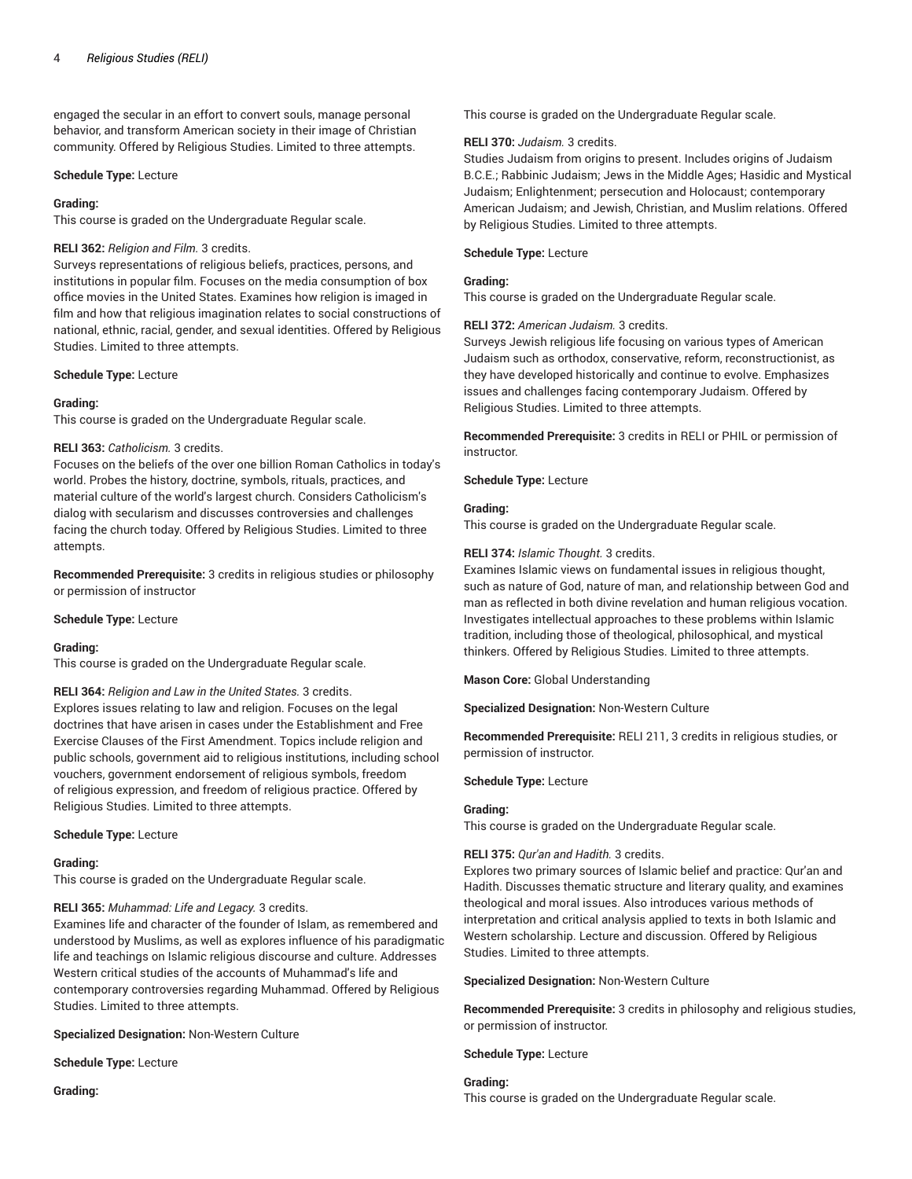engaged the secular in an effort to convert souls, manage personal behavior, and transform American society in their image of Christian community. Offered by Religious Studies. Limited to three attempts.

#### **Schedule Type:** Lecture

#### **Grading:**

This course is graded on the Undergraduate Regular scale.

## **RELI 362:** *Religion and Film.* 3 credits.

Surveys representations of religious beliefs, practices, persons, and institutions in popular film. Focuses on the media consumption of box office movies in the United States. Examines how religion is imaged in film and how that religious imagination relates to social constructions of national, ethnic, racial, gender, and sexual identities. Offered by Religious Studies. Limited to three attempts.

#### **Schedule Type:** Lecture

# **Grading:**

This course is graded on the Undergraduate Regular scale.

#### **RELI 363:** *Catholicism.* 3 credits.

Focuses on the beliefs of the over one billion Roman Catholics in today's world. Probes the history, doctrine, symbols, rituals, practices, and material culture of the world's largest church. Considers Catholicism's dialog with secularism and discusses controversies and challenges facing the church today. Offered by Religious Studies. Limited to three attempts.

**Recommended Prerequisite:** 3 credits in religious studies or philosophy or permission of instructor

**Schedule Type:** Lecture

#### **Grading:**

This course is graded on the Undergraduate Regular scale.

**RELI 364:** *Religion and Law in the United States.* 3 credits. Explores issues relating to law and religion. Focuses on the legal doctrines that have arisen in cases under the Establishment and Free Exercise Clauses of the First Amendment. Topics include religion and public schools, government aid to religious institutions, including school vouchers, government endorsement of religious symbols, freedom of religious expression, and freedom of religious practice. Offered by Religious Studies. Limited to three attempts.

#### **Schedule Type:** Lecture

#### **Grading:**

This course is graded on the Undergraduate Regular scale.

# **RELI 365:** *Muhammad: Life and Legacy.* 3 credits.

Examines life and character of the founder of Islam, as remembered and understood by Muslims, as well as explores influence of his paradigmatic life and teachings on Islamic religious discourse and culture. Addresses Western critical studies of the accounts of Muhammad's life and contemporary controversies regarding Muhammad. Offered by Religious Studies. Limited to three attempts.

**Specialized Designation:** Non-Western Culture

**Schedule Type:** Lecture

**Grading:**

This course is graded on the Undergraduate Regular scale.

#### **RELI 370:** *Judaism.* 3 credits.

Studies Judaism from origins to present. Includes origins of Judaism B.C.E.; Rabbinic Judaism; Jews in the Middle Ages; Hasidic and Mystical Judaism; Enlightenment; persecution and Holocaust; contemporary American Judaism; and Jewish, Christian, and Muslim relations. Offered by Religious Studies. Limited to three attempts.

#### **Schedule Type:** Lecture

## **Grading:**

This course is graded on the Undergraduate Regular scale.

# **RELI 372:** *American Judaism.* 3 credits.

Surveys Jewish religious life focusing on various types of American Judaism such as orthodox, conservative, reform, reconstructionist, as they have developed historically and continue to evolve. Emphasizes issues and challenges facing contemporary Judaism. Offered by Religious Studies. Limited to three attempts.

**Recommended Prerequisite:** 3 credits in RELI or PHIL or permission of instructor.

## **Schedule Type:** Lecture

#### **Grading:**

This course is graded on the Undergraduate Regular scale.

#### **RELI 374:** *Islamic Thought.* 3 credits.

Examines Islamic views on fundamental issues in religious thought, such as nature of God, nature of man, and relationship between God and man as reflected in both divine revelation and human religious vocation. Investigates intellectual approaches to these problems within Islamic tradition, including those of theological, philosophical, and mystical thinkers. Offered by Religious Studies. Limited to three attempts.

**Mason Core:** Global Understanding

**Specialized Designation:** Non-Western Culture

**Recommended Prerequisite:** RELI 211, 3 credits in religious studies, or permission of instructor.

**Schedule Type:** Lecture

# **Grading:**

This course is graded on the Undergraduate Regular scale.

#### **RELI 375:** *Qur'an and Hadith.* 3 credits.

Explores two primary sources of Islamic belief and practice: Qur'an and Hadith. Discusses thematic structure and literary quality, and examines theological and moral issues. Also introduces various methods of interpretation and critical analysis applied to texts in both Islamic and Western scholarship. Lecture and discussion. Offered by Religious Studies. Limited to three attempts.

**Specialized Designation:** Non-Western Culture

**Recommended Prerequisite:** 3 credits in philosophy and religious studies, or permission of instructor.

**Schedule Type:** Lecture

# **Grading:**

This course is graded on the Undergraduate Regular scale.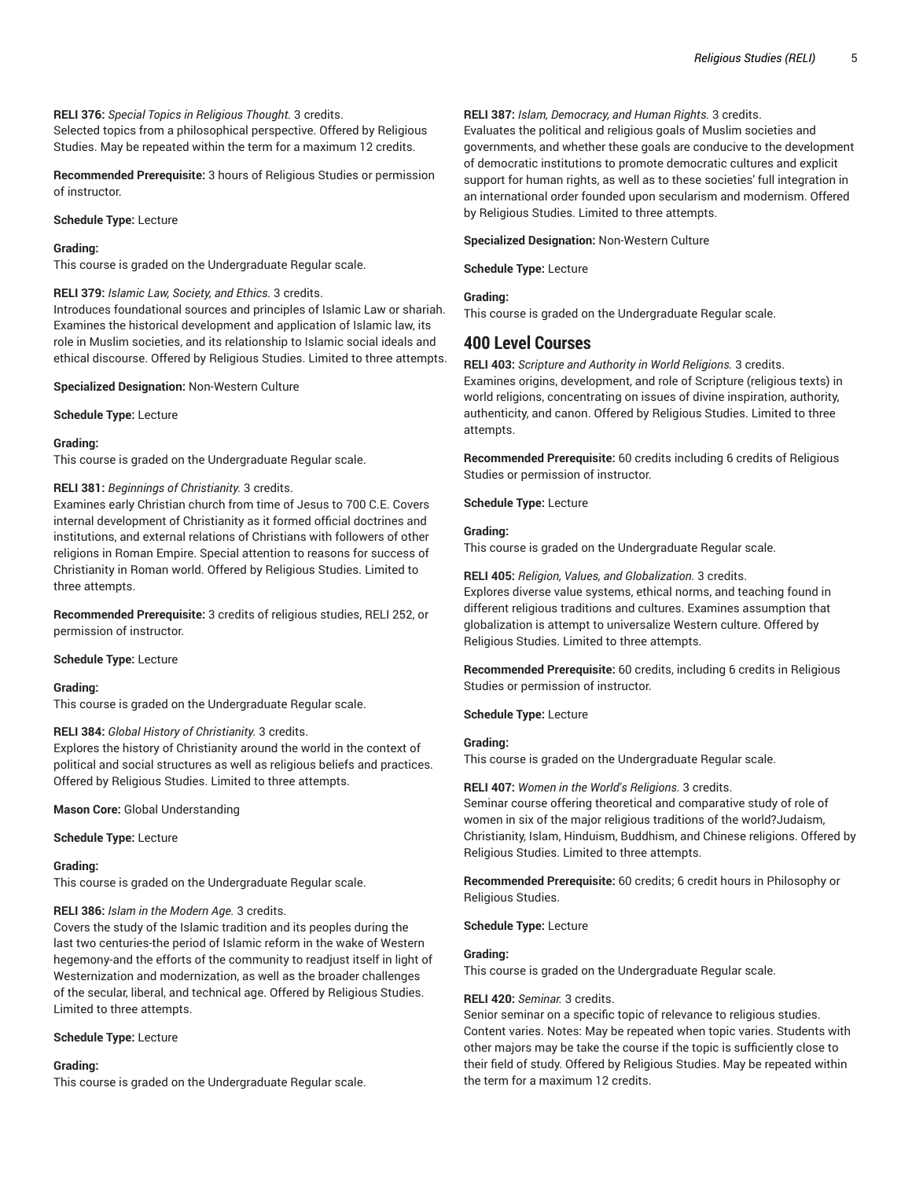# **RELI 376:** *Special Topics in Religious Thought.* 3 credits.

Selected topics from a philosophical perspective. Offered by Religious Studies. May be repeated within the term for a maximum 12 credits.

**Recommended Prerequisite:** 3 hours of Religious Studies or permission of instructor.

#### **Schedule Type:** Lecture

## **Grading:**

This course is graded on the Undergraduate Regular scale.

#### **RELI 379:** *Islamic Law, Society, and Ethics.* 3 credits.

Introduces foundational sources and principles of Islamic Law or shariah. Examines the historical development and application of Islamic law, its role in Muslim societies, and its relationship to Islamic social ideals and ethical discourse. Offered by Religious Studies. Limited to three attempts.

#### **Specialized Designation:** Non-Western Culture

**Schedule Type:** Lecture

### **Grading:**

This course is graded on the Undergraduate Regular scale.

# **RELI 381:** *Beginnings of Christianity.* 3 credits.

Examines early Christian church from time of Jesus to 700 C.E. Covers internal development of Christianity as it formed official doctrines and institutions, and external relations of Christians with followers of other religions in Roman Empire. Special attention to reasons for success of Christianity in Roman world. Offered by Religious Studies. Limited to three attempts.

**Recommended Prerequisite:** 3 credits of religious studies, RELI 252, or permission of instructor.

#### **Schedule Type:** Lecture

# **Grading:**

This course is graded on the Undergraduate Regular scale.

#### **RELI 384:** *Global History of Christianity.* 3 credits.

Explores the history of Christianity around the world in the context of political and social structures as well as religious beliefs and practices. Offered by Religious Studies. Limited to three attempts.

**Mason Core:** Global Understanding

#### **Schedule Type:** Lecture

#### **Grading:**

This course is graded on the Undergraduate Regular scale.

# **RELI 386:** *Islam in the Modern Age.* 3 credits.

Covers the study of the Islamic tradition and its peoples during the last two centuries-the period of Islamic reform in the wake of Western hegemony-and the efforts of the community to readjust itself in light of Westernization and modernization, as well as the broader challenges of the secular, liberal, and technical age. Offered by Religious Studies. Limited to three attempts.

# **Schedule Type:** Lecture

# **Grading:**

This course is graded on the Undergraduate Regular scale.

# **RELI 387:** *Islam, Democracy, and Human Rights.* 3 credits.

Evaluates the political and religious goals of Muslim societies and governments, and whether these goals are conducive to the development of democratic institutions to promote democratic cultures and explicit support for human rights, as well as to these societies' full integration in an international order founded upon secularism and modernism. Offered by Religious Studies. Limited to three attempts.

# **Specialized Designation:** Non-Western Culture

**Schedule Type:** Lecture

#### **Grading:**

This course is graded on the Undergraduate Regular scale.

# **400 Level Courses**

**RELI 403:** *Scripture and Authority in World Religions.* 3 credits. Examines origins, development, and role of Scripture (religious texts) in world religions, concentrating on issues of divine inspiration, authority, authenticity, and canon. Offered by Religious Studies. Limited to three attempts.

**Recommended Prerequisite:** 60 credits including 6 credits of Religious Studies or permission of instructor.

**Schedule Type:** Lecture

## **Grading:**

This course is graded on the Undergraduate Regular scale.

**RELI 405:** *Religion, Values, and Globalization.* 3 credits. Explores diverse value systems, ethical norms, and teaching found in different religious traditions and cultures. Examines assumption that globalization is attempt to universalize Western culture. Offered by Religious Studies. Limited to three attempts.

**Recommended Prerequisite:** 60 credits, including 6 credits in Religious Studies or permission of instructor.

# **Schedule Type:** Lecture

# **Grading:**

This course is graded on the Undergraduate Regular scale.

# **RELI 407:** *Women in the World's Religions.* 3 credits.

Seminar course offering theoretical and comparative study of role of women in six of the major religious traditions of the world?Judaism, Christianity, Islam, Hinduism, Buddhism, and Chinese religions. Offered by Religious Studies. Limited to three attempts.

**Recommended Prerequisite:** 60 credits; 6 credit hours in Philosophy or Religious Studies.

# **Schedule Type:** Lecture

# **Grading:**

This course is graded on the Undergraduate Regular scale.

#### **RELI 420:** *Seminar.* 3 credits.

Senior seminar on a specific topic of relevance to religious studies. Content varies. Notes: May be repeated when topic varies. Students with other majors may be take the course if the topic is sufficiently close to their field of study. Offered by Religious Studies. May be repeated within the term for a maximum 12 credits.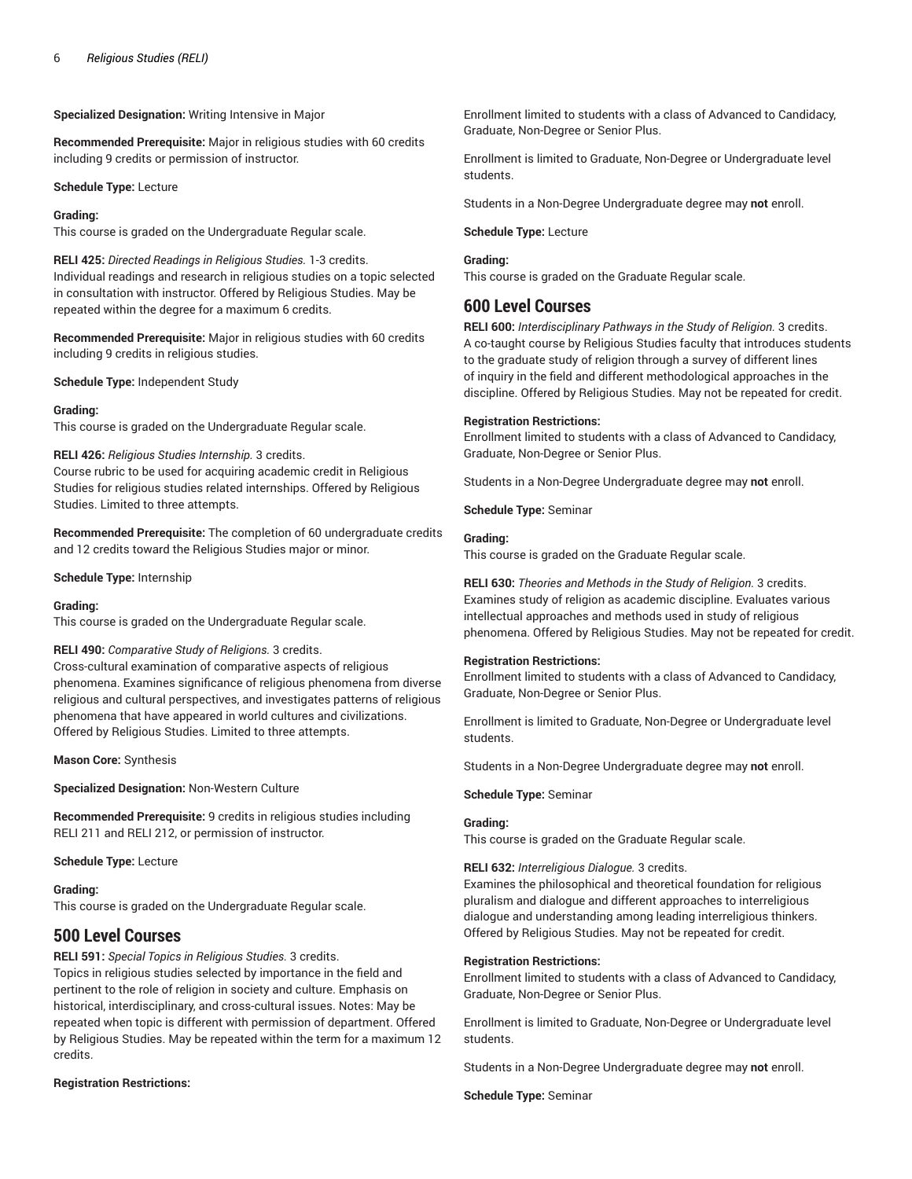**Specialized Designation:** Writing Intensive in Major

**Recommended Prerequisite:** Major in religious studies with 60 credits including 9 credits or permission of instructor.

**Schedule Type:** Lecture

## **Grading:**

This course is graded on the Undergraduate Regular scale.

**RELI 425:** *Directed Readings in Religious Studies.* 1-3 credits. Individual readings and research in religious studies on a topic selected in consultation with instructor. Offered by Religious Studies. May be repeated within the degree for a maximum 6 credits.

**Recommended Prerequisite:** Major in religious studies with 60 credits including 9 credits in religious studies.

**Schedule Type:** Independent Study

# **Grading:**

This course is graded on the Undergraduate Regular scale.

#### **RELI 426:** *Religious Studies Internship.* 3 credits.

Course rubric to be used for acquiring academic credit in Religious Studies for religious studies related internships. Offered by Religious Studies. Limited to three attempts.

**Recommended Prerequisite:** The completion of 60 undergraduate credits and 12 credits toward the Religious Studies major or minor.

**Schedule Type:** Internship

# **Grading:**

This course is graded on the Undergraduate Regular scale.

# **RELI 490:** *Comparative Study of Religions.* 3 credits.

Cross-cultural examination of comparative aspects of religious phenomena. Examines significance of religious phenomena from diverse religious and cultural perspectives, and investigates patterns of religious phenomena that have appeared in world cultures and civilizations. Offered by Religious Studies. Limited to three attempts.

**Mason Core:** Synthesis

**Specialized Designation:** Non-Western Culture

**Recommended Prerequisite:** 9 credits in religious studies including RELI 211 and RELI 212, or permission of instructor.

**Schedule Type:** Lecture

# **Grading:**

This course is graded on the Undergraduate Regular scale.

# **500 Level Courses**

**RELI 591:** *Special Topics in Religious Studies.* 3 credits. Topics in religious studies selected by importance in the field and pertinent to the role of religion in society and culture. Emphasis on historical, interdisciplinary, and cross-cultural issues. Notes: May be repeated when topic is different with permission of department. Offered by Religious Studies. May be repeated within the term for a maximum 12 credits.

# **Registration Restrictions:**

Enrollment limited to students with a class of Advanced to Candidacy, Graduate, Non-Degree or Senior Plus.

Enrollment is limited to Graduate, Non-Degree or Undergraduate level students.

Students in a Non-Degree Undergraduate degree may **not** enroll.

**Schedule Type:** Lecture

# **Grading:**

This course is graded on the Graduate Regular scale.

# **600 Level Courses**

**RELI 600:** *Interdisciplinary Pathways in the Study of Religion.* 3 credits. A co-taught course by Religious Studies faculty that introduces students to the graduate study of religion through a survey of different lines of inquiry in the field and different methodological approaches in the discipline. Offered by Religious Studies. May not be repeated for credit.

# **Registration Restrictions:**

Enrollment limited to students with a class of Advanced to Candidacy, Graduate, Non-Degree or Senior Plus.

Students in a Non-Degree Undergraduate degree may **not** enroll.

**Schedule Type:** Seminar

# **Grading:**

This course is graded on the Graduate Regular scale.

**RELI 630:** *Theories and Methods in the Study of Religion.* 3 credits. Examines study of religion as academic discipline. Evaluates various intellectual approaches and methods used in study of religious phenomena. Offered by Religious Studies. May not be repeated for credit.

# **Registration Restrictions:**

Enrollment limited to students with a class of Advanced to Candidacy, Graduate, Non-Degree or Senior Plus.

Enrollment is limited to Graduate, Non-Degree or Undergraduate level students.

Students in a Non-Degree Undergraduate degree may **not** enroll.

# **Schedule Type:** Seminar

# **Grading:**

This course is graded on the Graduate Regular scale.

# **RELI 632:** *Interreligious Dialogue.* 3 credits.

Examines the philosophical and theoretical foundation for religious pluralism and dialogue and different approaches to interreligious dialogue and understanding among leading interreligious thinkers. Offered by Religious Studies. May not be repeated for credit.

# **Registration Restrictions:**

Enrollment limited to students with a class of Advanced to Candidacy, Graduate, Non-Degree or Senior Plus.

Enrollment is limited to Graduate, Non-Degree or Undergraduate level students.

Students in a Non-Degree Undergraduate degree may **not** enroll.

**Schedule Type:** Seminar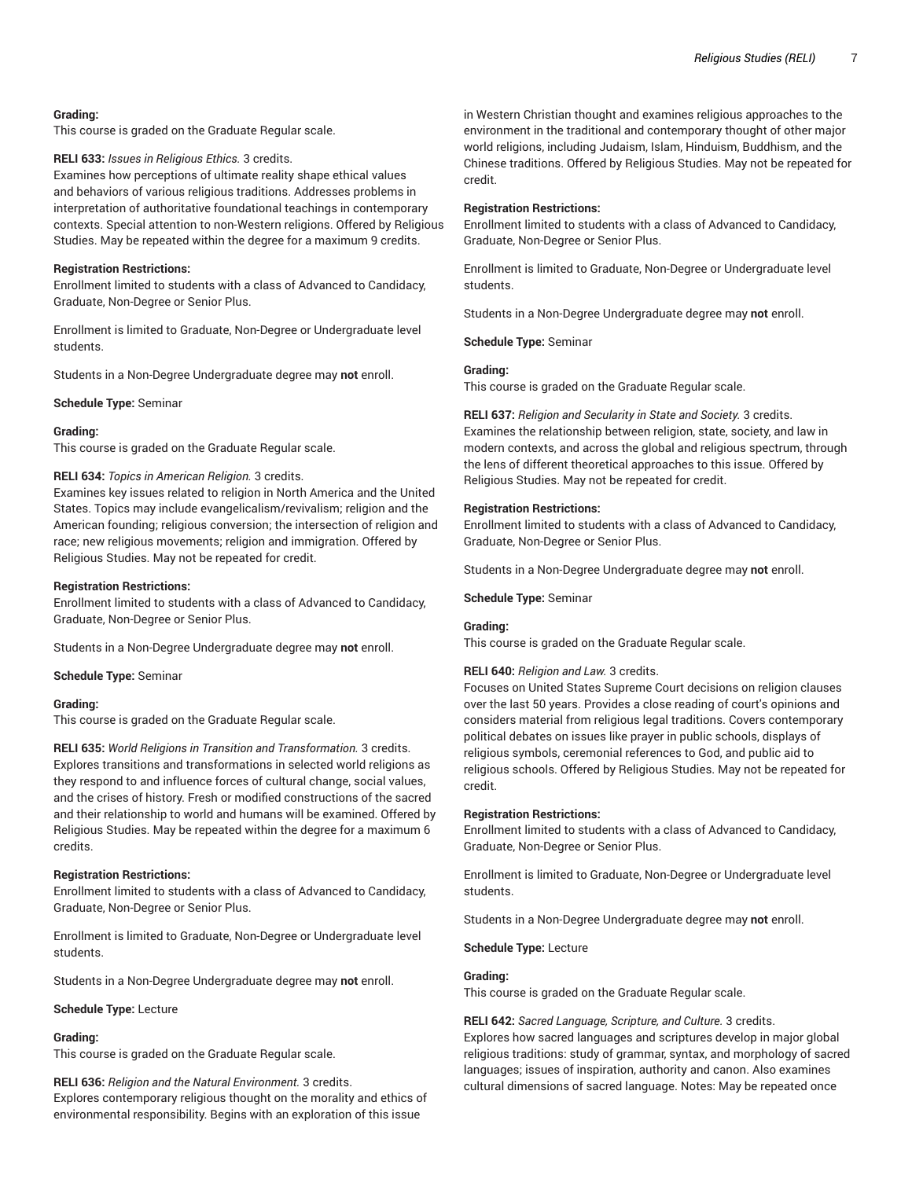#### **Grading:**

This course is graded on the Graduate Regular scale.

#### **RELI 633:** *Issues in Religious Ethics.* 3 credits.

Examines how perceptions of ultimate reality shape ethical values and behaviors of various religious traditions. Addresses problems in interpretation of authoritative foundational teachings in contemporary contexts. Special attention to non-Western religions. Offered by Religious Studies. May be repeated within the degree for a maximum 9 credits.

#### **Registration Restrictions:**

Enrollment limited to students with a class of Advanced to Candidacy, Graduate, Non-Degree or Senior Plus.

Enrollment is limited to Graduate, Non-Degree or Undergraduate level students.

Students in a Non-Degree Undergraduate degree may **not** enroll.

**Schedule Type:** Seminar

#### **Grading:**

This course is graded on the Graduate Regular scale.

#### **RELI 634:** *Topics in American Religion.* 3 credits.

Examines key issues related to religion in North America and the United States. Topics may include evangelicalism/revivalism; religion and the American founding; religious conversion; the intersection of religion and race; new religious movements; religion and immigration. Offered by Religious Studies. May not be repeated for credit.

#### **Registration Restrictions:**

Enrollment limited to students with a class of Advanced to Candidacy, Graduate, Non-Degree or Senior Plus.

Students in a Non-Degree Undergraduate degree may **not** enroll.

**Schedule Type:** Seminar

#### **Grading:**

This course is graded on the Graduate Regular scale.

**RELI 635:** *World Religions in Transition and Transformation.* 3 credits. Explores transitions and transformations in selected world religions as they respond to and influence forces of cultural change, social values, and the crises of history. Fresh or modified constructions of the sacred and their relationship to world and humans will be examined. Offered by Religious Studies. May be repeated within the degree for a maximum 6 credits.

#### **Registration Restrictions:**

Enrollment limited to students with a class of Advanced to Candidacy, Graduate, Non-Degree or Senior Plus.

Enrollment is limited to Graduate, Non-Degree or Undergraduate level students.

Students in a Non-Degree Undergraduate degree may **not** enroll.

**Schedule Type:** Lecture

#### **Grading:**

This course is graded on the Graduate Regular scale.

**RELI 636:** *Religion and the Natural Environment.* 3 credits. Explores contemporary religious thought on the morality and ethics of environmental responsibility. Begins with an exploration of this issue

in Western Christian thought and examines religious approaches to the environment in the traditional and contemporary thought of other major world religions, including Judaism, Islam, Hinduism, Buddhism, and the Chinese traditions. Offered by Religious Studies. May not be repeated for credit.

### **Registration Restrictions:**

Enrollment limited to students with a class of Advanced to Candidacy, Graduate, Non-Degree or Senior Plus.

Enrollment is limited to Graduate, Non-Degree or Undergraduate level students.

Students in a Non-Degree Undergraduate degree may **not** enroll.

**Schedule Type:** Seminar

#### **Grading:**

This course is graded on the Graduate Regular scale.

**RELI 637:** *Religion and Secularity in State and Society.* 3 credits. Examines the relationship between religion, state, society, and law in modern contexts, and across the global and religious spectrum, through the lens of different theoretical approaches to this issue. Offered by Religious Studies. May not be repeated for credit.

#### **Registration Restrictions:**

Enrollment limited to students with a class of Advanced to Candidacy, Graduate, Non-Degree or Senior Plus.

Students in a Non-Degree Undergraduate degree may **not** enroll.

#### **Schedule Type:** Seminar

#### **Grading:**

This course is graded on the Graduate Regular scale.

#### **RELI 640:** *Religion and Law.* 3 credits.

Focuses on United States Supreme Court decisions on religion clauses over the last 50 years. Provides a close reading of court's opinions and considers material from religious legal traditions. Covers contemporary political debates on issues like prayer in public schools, displays of religious symbols, ceremonial references to God, and public aid to religious schools. Offered by Religious Studies. May not be repeated for credit.

#### **Registration Restrictions:**

Enrollment limited to students with a class of Advanced to Candidacy, Graduate, Non-Degree or Senior Plus.

Enrollment is limited to Graduate, Non-Degree or Undergraduate level students.

Students in a Non-Degree Undergraduate degree may **not** enroll.

**Schedule Type:** Lecture

#### **Grading:**

This course is graded on the Graduate Regular scale.

#### **RELI 642:** *Sacred Language, Scripture, and Culture.* 3 credits.

Explores how sacred languages and scriptures develop in major global religious traditions: study of grammar, syntax, and morphology of sacred languages; issues of inspiration, authority and canon. Also examines cultural dimensions of sacred language. Notes: May be repeated once